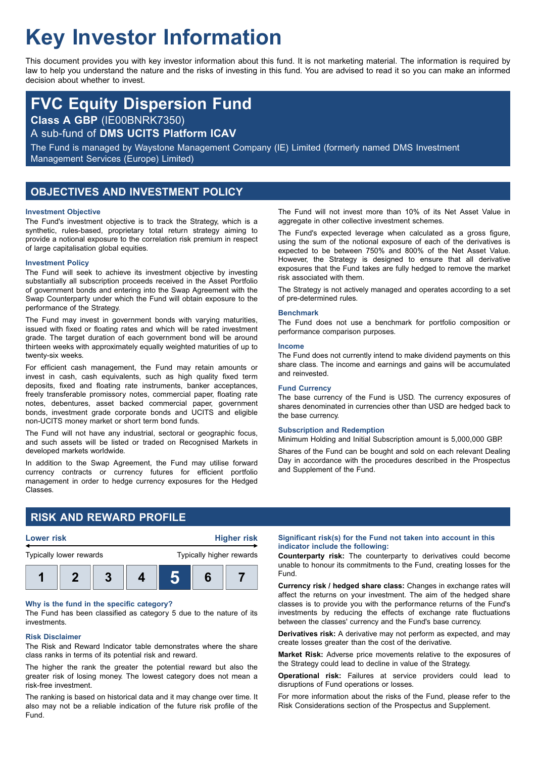# **Key Investor Information**

This document provides you with key investor information about this fund. It is not marketing material. The information is required by law to help you understand the nature and the risks of investing in this fund. You are advised to read it so you can make an informed decision about whether to invest.

# **FVC Equity Dispersion Fund**

**Class A GBP** (IE00BNRK7350)

A sub-fund of **DMS UCITS Platform ICAV**

The Fund is managed by Waystone Management Company (IE) Limited (formerly named DMS Investment Management Services (Europe) Limited)

# **OBJECTIVES AND INVESTMENT POLICY**

#### **Investment Objective**

The Fund's investment objective is to track the Strategy, which is a synthetic, rules-based, proprietary total return strategy aiming to provide a notional exposure to the correlation risk premium in respect of large capitalisation global equities.

#### **Investment Policy**

The Fund will seek to achieve its investment objective by investing substantially all subscription proceeds received in the Asset Portfolio of government bonds and entering into the Swap Agreement with the Swap Counterparty under which the Fund will obtain exposure to the performance of the Strategy.

The Fund may invest in government bonds with varying maturities, issued with fixed or floating rates and which will be rated investment grade. The target duration of each government bond will be around thirteen weeks with approximately equally weighted maturities of up to twenty-six weeks.

For efficient cash management, the Fund may retain amounts or invest in cash, cash equivalents, such as high quality fixed term deposits, fixed and floating rate instruments, banker acceptances, freely transferable promissory notes, commercial paper, floating rate notes, debentures, asset backed commercial paper, government bonds, investment grade corporate bonds and UCITS and eligible non-UCITS money market or short term bond funds.

The Fund will not have any industrial, sectoral or geographic focus, and such assets will be listed or traded on Recognised Markets in developed markets worldwide.

In addition to the Swap Agreement, the Fund may utilise forward currency contracts or currency futures for efficient portfolio management in order to hedge currency exposures for the Hedged Classes.

The Fund will not invest more than 10% of its Net Asset Value in aggregate in other collective investment schemes.

The Fund's expected leverage when calculated as a gross figure, using the sum of the notional exposure of each of the derivatives is expected to be between 750% and 800% of the Net Asset Value. However, the Strategy is designed to ensure that all derivative exposures that the Fund takes are fully hedged to remove the market risk associated with them.

The Strategy is not actively managed and operates according to a set of pre-determined rules.

#### **Benchmark**

The Fund does not use a benchmark for portfolio composition or performance comparison purposes.

#### **Income**

The Fund does not currently intend to make dividend payments on this share class. The income and earnings and gains will be accumulated and reinvested.

#### **Fund Currency**

The base currency of the Fund is USD. The currency exposures of shares denominated in currencies other than USD are hedged back to the base currency.

#### **Subscription and Redemption**

Minimum Holding and Initial Subscription amount is 5,000,000 GBP.

Shares of the Fund can be bought and sold on each relevant Dealing Day in accordance with the procedures described in the Prospectus and Supplement of the Fund.

# **RISK AND REWARD PROFILE**



#### **Why is the fund in the specific category?**

The Fund has been classified as category 5 due to the nature of its investments.

#### **Risk Disclaimer**

The Risk and Reward Indicator table demonstrates where the share class ranks in terms of its potential risk and reward.

The higher the rank the greater the potential reward but also the greater risk of losing money. The lowest category does not mean a risk-free investment.

The ranking is based on historical data and it may change over time. It also may not be a reliable indication of the future risk profile of the Fund.

#### **Significant risk(s) for the Fund not taken into account in this indicator include the following:**

**Counterparty risk:** The counterparty to derivatives could become unable to honour its commitments to the Fund, creating losses for the Fund.

**Currency risk / hedged share class:** Changes in exchange rates will affect the returns on your investment. The aim of the hedged share classes is to provide you with the performance returns of the Fund's investments by reducing the effects of exchange rate fluctuations between the classes' currency and the Fund's base currency.

**Derivatives risk:** A derivative may not perform as expected, and may create losses greater than the cost of the derivative.

**Market Risk:** Adverse price movements relative to the exposures of the Strategy could lead to decline in value of the Strategy.

**Operational risk:** Failures at service providers could lead to disruptions of Fund operations or losses.

For more information about the risks of the Fund, please refer to the Risk Considerations section of the Prospectus and Supplement.